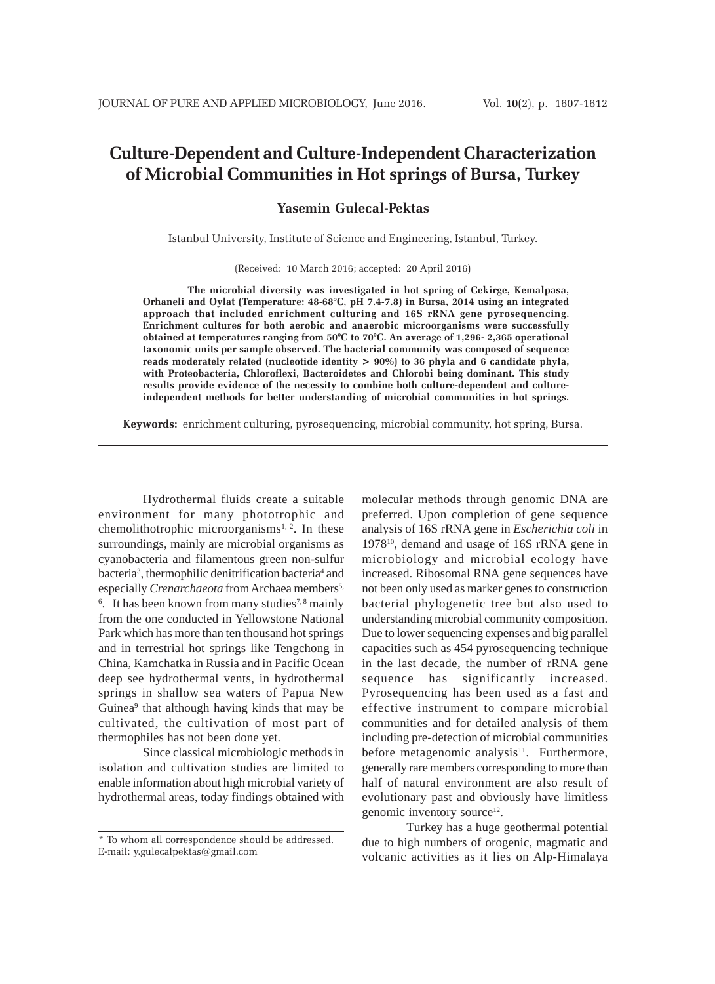# **Culture-Dependent and Culture-Independent Characterization of Microbial Communities in Hot springs of Bursa, Turkey**

## **Yasemin Gulecal-Pektas**

Istanbul University, Institute of Science and Engineering, Istanbul, Turkey.

(Received: 10 March 2016; accepted: 20 April 2016)

**The microbial diversity was investigated in hot spring of Cekirge, Kemalpasa, Orhaneli and Oylat (Temperature: 48-68°C, pH 7.4-7.8) in Bursa, 2014 using an integrated approach that included enrichment culturing and 16S rRNA gene pyrosequencing. Enrichment cultures for both aerobic and anaerobic microorganisms were successfully obtained at temperatures ranging from 50°C to 70°C. An average of 1,296- 2,365 operational taxonomic units per sample observed. The bacterial community was composed of sequence reads moderately related (nucleotide identity > 90%) to 36 phyla and 6 candidate phyla, with Proteobacteria, Chloroflexi, Bacteroidetes and Chlorobi being dominant. This study results provide evidence of the necessity to combine both culture-dependent and cultureindependent methods for better understanding of microbial communities in hot springs.**

**Keywords:** enrichment culturing, pyrosequencing, microbial community, hot spring, Bursa.

Hydrothermal fluids create a suitable environment for many phototrophic and chemolithotrophic microorganisms<sup>1, 2</sup>. In these surroundings, mainly are microbial organisms as cyanobacteria and filamentous green non-sulfur bacteria<sup>3</sup>, thermophilic denitrification bacteria<sup>4</sup> and especially *Crenarchaeota* from Archaea members<sup>5,</sup> <sup>6</sup>. It has been known from many studies<sup>7,8</sup> mainly from the one conducted in Yellowstone National Park which has more than ten thousand hot springs and in terrestrial hot springs like Tengchong in China, Kamchatka in Russia and in Pacific Ocean deep see hydrothermal vents, in hydrothermal springs in shallow sea waters of Papua New Guinea<sup>9</sup> that although having kinds that may be cultivated, the cultivation of most part of thermophiles has not been done yet.

Since classical microbiologic methods in isolation and cultivation studies are limited to enable information about high microbial variety of hydrothermal areas, today findings obtained with molecular methods through genomic DNA are preferred. Upon completion of gene sequence analysis of 16S rRNA gene in *Escherichia coli* in 197810, demand and usage of 16S rRNA gene in microbiology and microbial ecology have increased. Ribosomal RNA gene sequences have not been only used as marker genes to construction bacterial phylogenetic tree but also used to understanding microbial community composition. Due to lower sequencing expenses and big parallel capacities such as 454 pyrosequencing technique in the last decade, the number of rRNA gene sequence has significantly increased. Pyrosequencing has been used as a fast and effective instrument to compare microbial communities and for detailed analysis of them including pre-detection of microbial communities before metagenomic analysis<sup>11</sup>. Furthermore, generally rare members corresponding to more than half of natural environment are also result of evolutionary past and obviously have limitless genomic inventory source<sup>12</sup>.

Turkey has a huge geothermal potential due to high numbers of orogenic, magmatic and volcanic activities as it lies on Alp-Himalaya

<sup>\*</sup> To whom all correspondence should be addressed. E-mail: y.gulecalpektas@gmail.com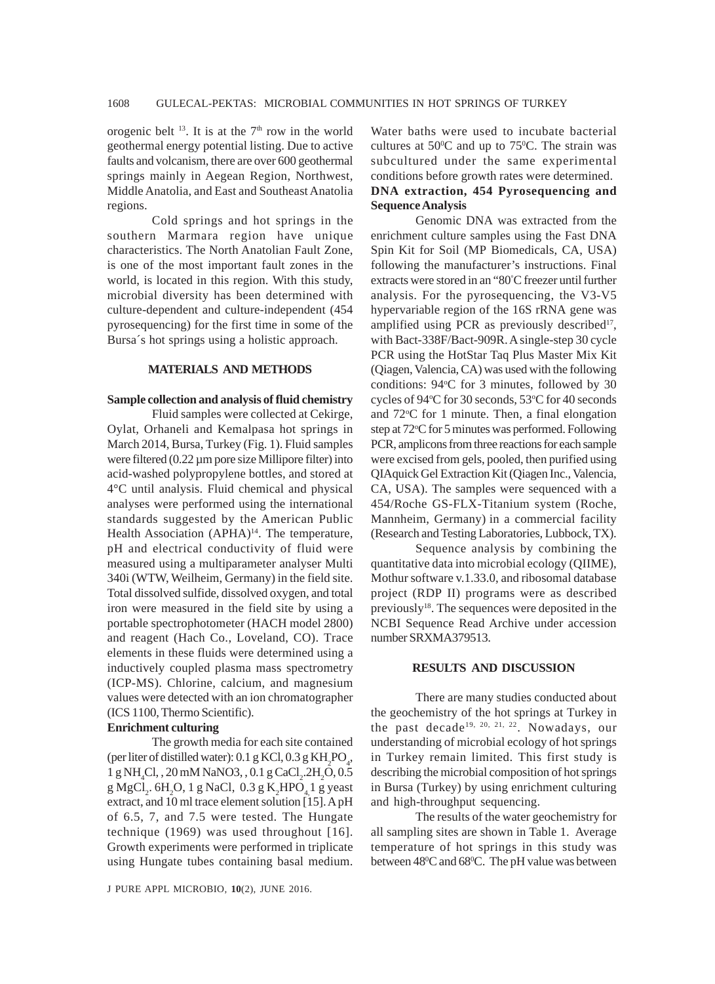orogenic belt  $^{13}$ . It is at the  $7<sup>th</sup>$  row in the world geothermal energy potential listing. Due to active faults and volcanism, there are over 600 geothermal springs mainly in Aegean Region, Northwest, Middle Anatolia, and East and Southeast Anatolia regions.

Cold springs and hot springs in the southern Marmara region have unique characteristics. The North Anatolian Fault Zone, is one of the most important fault zones in the world, is located in this region. With this study, microbial diversity has been determined with culture-dependent and culture-independent (454 pyrosequencing) for the first time in some of the Bursa´s hot springs using a holistic approach.

## **MATERIALS AND METHODS**

#### **Sample collection and analysis of fluid chemistry**

Fluid samples were collected at Cekirge, Oylat, Orhaneli and Kemalpasa hot springs in March 2014, Bursa, Turkey (Fig. 1). Fluid samples were filtered  $(0.22 \mu m)$  pore size Millipore filter) into acid-washed polypropylene bottles, and stored at 4°C until analysis. Fluid chemical and physical analyses were performed using the international standards suggested by the American Public Health Association (APHA)<sup>14</sup>. The temperature, pH and electrical conductivity of fluid were measured using a multiparameter analyser Multi 340i (WTW, Weilheim, Germany) in the field site. Total dissolved sulfide, dissolved oxygen, and total iron were measured in the field site by using a portable spectrophotometer (HACH model 2800) and reagent (Hach Co., Loveland, CO). Trace elements in these fluids were determined using a inductively coupled plasma mass spectrometry (ICP-MS). Chlorine, calcium, and magnesium values were detected with an ion chromatographer (ICS 1100, Thermo Scientific).

#### **Enrichment culturing**

The growth media for each site contained (per liter of distilled water):  $0.1 \text{ g KCl}, 0.3 \text{ g KH}_2\text{PO}_4$ ,  $1 \text{ g NH}_4\text{Cl}$ , ,  $20 \text{ mM NaNO3}$ , ,  $0.1 \text{ g CaCl}_2$ . $2 \text{H}_2\text{O}$ ,  $0.5$ g MgCl<sub>2</sub>. 6H<sub>2</sub>O, 1 g NaCl, 0.3 g K<sub>2</sub>HPO<sub>4</sub><sub>4</sub> g yeast extract, and 10 ml trace element solution [15]. A pH of 6.5, 7, and 7.5 were tested. The Hungate technique (1969) was used throughout [16]. Growth experiments were performed in triplicate using Hungate tubes containing basal medium.

Water baths were used to incubate bacterial cultures at  $50^{\circ}$ C and up to  $75^{\circ}$ C. The strain was subcultured under the same experimental conditions before growth rates were determined. **DNA extraction, 454 Pyrosequencing and Sequence Analysis**

Genomic DNA was extracted from the enrichment culture samples using the Fast DNA Spin Kit for Soil (MP Biomedicals, CA, USA) following the manufacturer's instructions. Final extracts were stored in an "80° C freezer until further analysis. For the pyrosequencing, the V3-V5 hypervariable region of the 16S rRNA gene was amplified using PCR as previously described $17$ , with Bact-338F/Bact-909R. A single-step 30 cycle PCR using the HotStar Taq Plus Master Mix Kit (Qiagen, Valencia, CA) was used with the following conditions: 94°C for 3 minutes, followed by 30 cycles of 94°C for 30 seconds, 53°C for 40 seconds and 72°C for 1 minute. Then, a final elongation step at 72°C for 5 minutes was performed. Following PCR, amplicons from three reactions for each sample were excised from gels, pooled, then purified using QIAquick Gel Extraction Kit (Qiagen Inc., Valencia, CA, USA). The samples were sequenced with a 454/Roche GS-FLX-Titanium system (Roche, Mannheim, Germany) in a commercial facility (Research and Testing Laboratories, Lubbock, TX).

Sequence analysis by combining the quantitative data into microbial ecology (QIIME), Mothur software v.1.33.0, and ribosomal database project (RDP II) programs were as described previously<sup>18</sup>. The sequences were deposited in the NCBI Sequence Read Archive under accession number SRXMA379513.

## **RESULTS AND DISCUSSION**

There are many studies conducted about the geochemistry of the hot springs at Turkey in the past decade<sup>19, 20, 21, 22</sup>. Nowadays, our understanding of microbial ecology of hot springs in Turkey remain limited. This first study is describing the microbial composition of hot springs in Bursa (Turkey) by using enrichment culturing and high-throughput sequencing.

The results of the water geochemistry for all sampling sites are shown in Table 1. Average temperature of hot springs in this study was between 48<sup>o</sup>C and 68<sup>o</sup>C. The pH value was between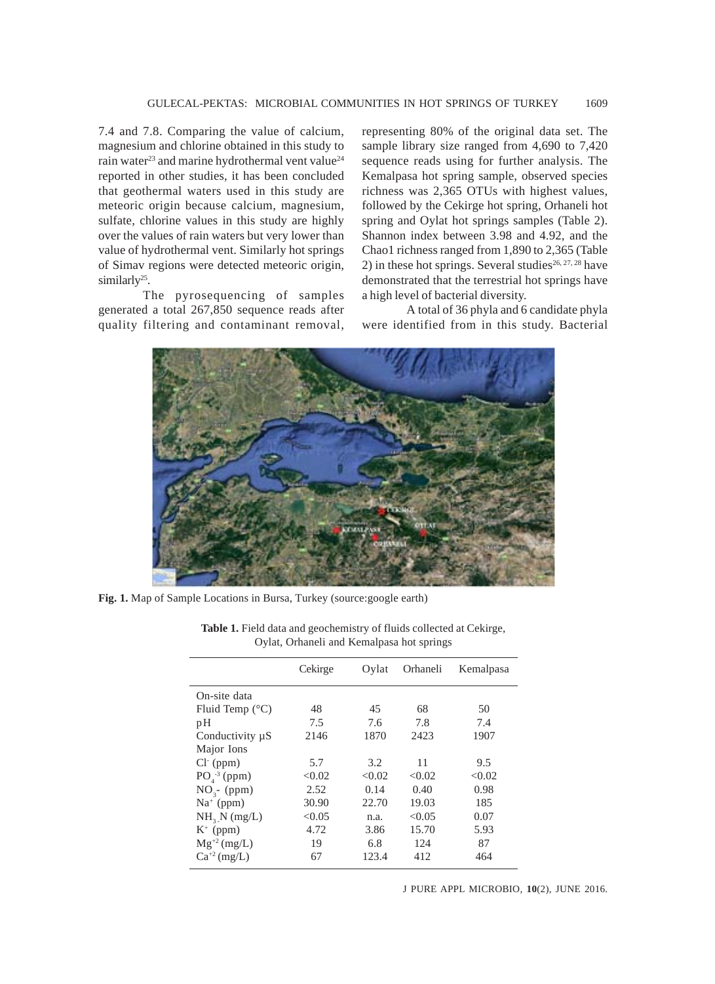7.4 and 7.8. Comparing the value of calcium, magnesium and chlorine obtained in this study to rain water<sup>23</sup> and marine hydrothermal vent value<sup>24</sup> reported in other studies, it has been concluded that geothermal waters used in this study are meteoric origin because calcium, magnesium, sulfate, chlorine values in this study are highly over the values of rain waters but very lower than value of hydrothermal vent. Similarly hot springs of Simav regions were detected meteoric origin, similarly<sup>25</sup>.

The pyrosequencing of samples generated a total 267,850 sequence reads after quality filtering and contaminant removal, representing 80% of the original data set. The sample library size ranged from 4,690 to 7,420 sequence reads using for further analysis. The Kemalpasa hot spring sample, observed species richness was 2,365 OTUs with highest values, followed by the Cekirge hot spring, Orhaneli hot spring and Oylat hot springs samples (Table 2). Shannon index between 3.98 and 4.92, and the Chao1 richness ranged from 1,890 to 2,365 (Table 2) in these hot springs. Several studies<sup>26, 27, 28</sup> have demonstrated that the terrestrial hot springs have a high level of bacterial diversity.

A total of 36 phyla and 6 candidate phyla were identified from in this study. Bacterial



**Fig. 1.** Map of Sample Locations in Bursa, Turkey (source:google earth)

|                          | Cekirge | Oylat  | Orhaneli | Kemalpasa |
|--------------------------|---------|--------|----------|-----------|
| On-site data             |         |        |          |           |
| Fluid Temp $(^{\circ}C)$ | 48      | 45     | 68       | 50        |
| рH                       | 7.5     | 7.6    | 7.8      | 7.4       |
| Conductivity $\mu S$     | 2146    | 1870   | 2423     | 1907      |
| Major Ions               |         |        |          |           |
| $Cl^-(ppm)$              | 5.7     | 3.2    | 11       | 9.5       |
| $PO4-3 (ppm)$            | < 0.02  | < 0.02 | < 0.02   | < 0.02    |
| $NO3$ - (ppm)            | 2.52    | 0.14   | 0.40     | 0.98      |
| $Na+$ (ppm)              | 30.90   | 22.70  | 19.03    | 185       |
| NH <sub>3</sub> N (mg/L) | < 0.05  | n.a.   | < 0.05   | 0.07      |
| $K^+$ (ppm)              | 4.72    | 3.86   | 15.70    | 5.93      |
| $Mg^{+2} (mg/L)$         | 19      | 6.8    | 124      | 87        |
| $Ca^{+2}$ (mg/L)         | 67      | 123.4  | 412      | 464       |
|                          |         |        |          |           |

**Table 1.** Field data and geochemistry of fluids collected at Cekirge, Oylat, Orhaneli and Kemalpasa hot springs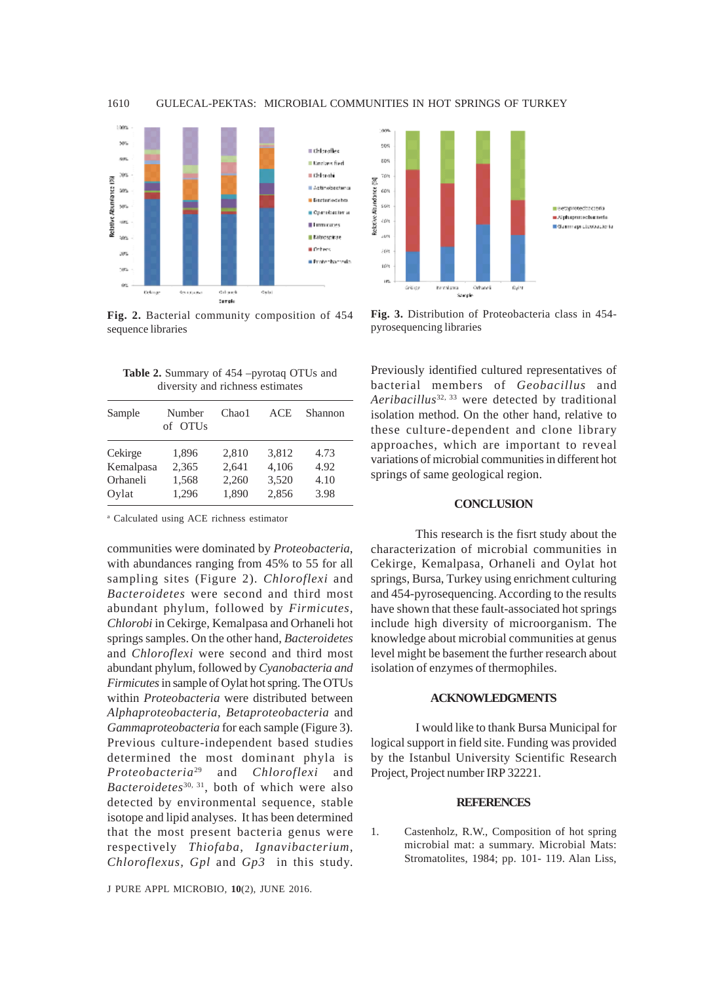

**Fig. 2.** Bacterial community composition of 454 sequence libraries

**Table 2.** Summary of 454 –pyrotaq OTUs and diversity and richness estimates

| Sample    | Number<br>of OTUs | Chao1 | <b>ACE</b> | Shannon |
|-----------|-------------------|-------|------------|---------|
| Cekirge   | 1,896             | 2,810 | 3,812      | 4.73    |
| Kemalpasa | 2,365             | 2,641 | 4,106      | 4.92    |
| Orhaneli  | 1,568             | 2,260 | 3,520      | 4.10    |
| Oylat     | 1,296             | 1,890 | 2,856      | 3.98    |

a Calculated using ACE richness estimator

communities were dominated by *Proteobacteria*, with abundances ranging from 45% to 55 for all sampling sites (Figure 2). *Chloroflexi* and *Bacteroidetes* were second and third most abundant phylum, followed by *Firmicutes, Chlorobi* in Cekirge, Kemalpasa and Orhaneli hot springs samples. On the other hand, *Bacteroidetes* and *Chloroflexi* were second and third most abundant phylum, followed by *Cyanobacteria and Firmicutes* in sample of Oylat hot spring. The OTUs within *Proteobacteria* were distributed between *Alphaproteobacteria*, *Betaproteobacteria* and *Gammaproteobacteria* for each sample (Figure 3). Previous culture-independent based studies determined the most dominant phyla is *Proteobacteria*29 and *Chloroflexi* and *Bacteroidetes*30, 31, both of which were also detected by environmental sequence, stable isotope and lipid analyses. It has been determined that the most present bacteria genus were respectively *Thiofaba*, *Ignavibacterium*, *Chloroflexus, Gpl* and *Gp3* in this study.

J PURE APPL MICROBIO*,* **10**(2), JUNE 2016.



**Fig. 3.** Distribution of Proteobacteria class in 454 pyrosequencing libraries

Previously identified cultured representatives of bacterial members of *Geobacillus* and *Aeribacillus*32, 33 were detected by traditional isolation method. On the other hand, relative to these culture-dependent and clone library approaches, which are important to reveal variations of microbial communities in different hot springs of same geological region.

## **CONCLUSION**

This research is the fisrt study about the characterization of microbial communities in Cekirge, Kemalpasa, Orhaneli and Oylat hot springs, Bursa, Turkey using enrichment culturing and 454-pyrosequencing. According to the results have shown that these fault-associated hot springs include high diversity of microorganism. The knowledge about microbial communities at genus level might be basement the further research about isolation of enzymes of thermophiles.

### **ACKNOWLEDGMENTS**

I would like to thank Bursa Municipal for logical support in field site. Funding was provided by the Istanbul University Scientific Research Project, Project number IRP 32221.

#### **REFERENCES**

1. Castenholz, R.W., Composition of hot spring microbial mat: a summary. Microbial Mats: Stromatolites, 1984; pp. 101- 119. Alan Liss,

1610 GULECAL-PEKTAS: MICROBIAL COMMUNITIES IN HOT SPRINGS OF TURKEY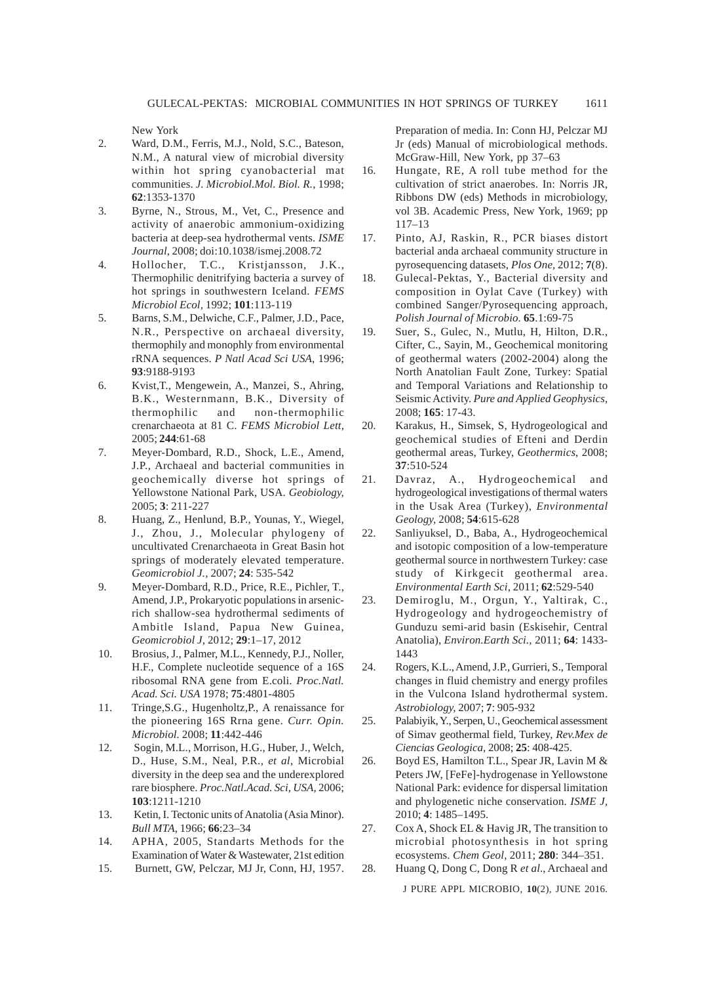New York

- 2. Ward, D.M., Ferris, M.J., Nold, S.C., Bateson, N.M., A natural view of microbial diversity within hot spring cyanobacterial mat communities. *J. Microbiol.Mol. Biol. R.*, 1998; **62**:1353-1370
- 3. Byrne, N., Strous, M., Vet, C., Presence and activity of anaerobic ammonium-oxidizing bacteria at deep-sea hydrothermal vents. *ISME Journal,* 2008; doi:10.1038/ismej.2008.72
- 4. Hollocher, T.C., Kristjansson, J.K., Thermophilic denitrifying bacteria a survey of hot springs in southwestern Iceland. *FEMS Microbiol Ecol,* 1992; **101**:113-119
- 5. Barns, S.M., Delwiche, C.F., Palmer, J.D., Pace, N.R., Perspective on archaeal diversity, thermophily and monophly from environmental rRNA sequences. *P Natl Acad Sci USA*, 1996; **93**:9188-9193
- 6. Kvist,T., Mengewein, A., Manzei, S., Ahring, B.K., Westernmann, B.K., Diversity of thermophilic and non-thermophilic crenarchaeota at 81 C. *FEMS Microbiol Lett,* 2005; **244**:61-68
- 7. Meyer-Dombard, R.D., Shock, L.E., Amend, J.P., Archaeal and bacterial communities in geochemically diverse hot springs of Yellowstone National Park, USA. *Geobiology,* 2005; **3**: 211-227
- 8. Huang, Z., Henlund, B.P., Younas, Y., Wiegel, J., Zhou, J., Molecular phylogeny of uncultivated Crenarchaeota in Great Basin hot springs of moderately elevated temperature. *Geomicrobiol J.,* 2007; **24**: 535-542
- 9. Meyer-Dombard, R.D., Price, R.E., Pichler, T., Amend, J.P., Prokaryotic populations in arsenicrich shallow-sea hydrothermal sediments of Ambitle Island, Papua New Guinea, *Geomicrobiol J,* 2012; **29**:1–17, 2012
- 10. Brosius, J., Palmer, M.L., Kennedy, P.J., Noller, H.F., Complete nucleotide sequence of a 16S ribosomal RNA gene from E.coli. *Proc.Natl. Acad. Sci. USA* 1978; **75**:4801-4805
- 11. Tringe,S.G., Hugenholtz,P., A renaissance for the pioneering 16S Rrna gene. *Curr. Opin. Microbiol.* 2008; **11**:442-446
- 12. Sogin, M.L., Morrison, H.G., Huber, J., Welch, D., Huse, S.M., Neal, P.R., *et al*, Microbial diversity in the deep sea and the underexplored rare biosphere. *Proc.Natl.Acad. Sci, USA,* 2006; **103**:1211-1210
- 13. Ketin, I. Tectonic units of Anatolia (Asia Minor). *Bull MTA*, 1966; **66**:23–34
- 14. APHA, 2005, Standarts Methods for the Examination of Water & Wastewater, 21st edition
- 15. Burnett, GW, Pelczar, MJ Jr, Conn, HJ, 1957.

Preparation of media. In: Conn HJ, Pelczar MJ Jr (eds) Manual of microbiological methods. McGraw-Hill, New York, pp 37–63

- 16. Hungate, RE, A roll tube method for the cultivation of strict anaerobes. In: Norris JR, Ribbons DW (eds) Methods in microbiology, vol 3B. Academic Press, New York, 1969; pp 117–13
- 17. Pinto, AJ, Raskin, R., PCR biases distort bacterial anda archaeal community structure in pyrosequencing datasets, *Plos One,* 2012; **7**(8).
- 18. Gulecal-Pektas, Y., Bacterial diversity and composition in Oylat Cave (Turkey) with combined Sanger/Pyrosequencing approach, *Polish Journal of Microbio.* **65**.1:69-75
- 19. Suer, S., Gulec, N., Mutlu, H, Hilton, D.R., Cifter, C., Sayin, M., Geochemical monitoring of geothermal waters (2002-2004) along the North Anatolian Fault Zone, Turkey: Spatial and Temporal Variations and Relationship to Seismic Activity. *Pure and Applied Geophysics,* 2008; **165**: 17-43.
- 20. Karakus, H., Simsek, S, Hydrogeological and geochemical studies of Efteni and Derdin geothermal areas, Turkey, *Geothermics*, 2008; **37**:510-524
- 21. Davraz, A., Hydrogeochemical and hydrogeological investigations of thermal waters in the Usak Area (Turkey), *Environmental Geology,* 2008; **54**:615-628
- 22. Sanliyuksel, D., Baba, A., Hydrogeochemical and isotopic composition of a low-temperature geothermal source in northwestern Turkey: case study of Kirkgecit geothermal area. *Environmental Earth Sci,* 2011; **62**:529-540
- 23. Demiroglu, M., Orgun, Y., Yaltirak, C., Hydrogeology and hydrogeochemistry of Gunduzu semi-arid basin (Eskisehir, Central Anatolia), *Environ.Earth Sci.,* 2011; **64**: 1433- 1443
- 24. Rogers, K.L., Amend, J.P., Gurrieri, S., Temporal changes in fluid chemistry and energy profiles in the Vulcona Island hydrothermal system. *Astrobiology,* 2007; **7**: 905-932
- 25. Palabiyik, Y., Serpen, U., Geochemical assessment of Simav geothermal field, Turkey, *Rev.Mex de Ciencias Geologica,* 2008; **25**: 408-425.
- 26. Boyd ES, Hamilton T.L., Spear JR, Lavin M & Peters JW, [FeFe]-hydrogenase in Yellowstone National Park: evidence for dispersal limitation and phylogenetic niche conservation. *ISME J,* 2010; **4**: 1485–1495.
- 27. Cox A, Shock EL & Havig JR, The transition to microbial photosynthesis in hot spring ecosystems. *Chem Geol,* 2011; **280**: 344–351.
- 28. Huang Q, Dong C, Dong R *et al*., Archaeal and

J PURE APPL MICROBIO*,* **10**(2), JUNE 2016.